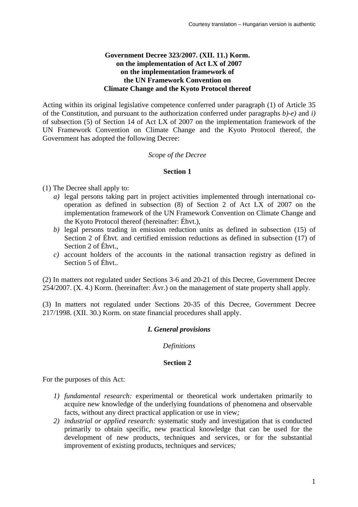## **Government Decree 323/2007. (XII. 11.) Korm. on the implementation of Act LX of 2007 on the implementation framework of the UN Framework Convention on Climate Change and the Kyoto Protocol thereof**

Acting within its original legislative competence conferred under paragraph (1) of Article 35 of the Constitution, and pursuant to the authorization conferred under paragraphs *b)-e)* and *i)* of subsection (5) of Section 14 of Act LX of 2007 on the implementation framework of the UN Framework Convention on Climate Change and the Kyoto Protocol thereof, the Government has adopted the following Decree:

### *Scope of the Decree*

#### **Section 1**

(1) The Decree shall apply to:

- *a)* legal persons taking part in project activities implemented through international cooperation as defined in subsection (8) of Section 2 of Act LX of 2007 on the implementation framework of the UN Framework Convention on Climate Change and the Kyoto Protocol thereof (hereinafter: Éhvt.),
- *b)* legal persons trading in emission reduction units as defined in subsection (15) of Section 2 of Éhvt. and certified emission reductions as defined in subsection (17) of Section 2 of Éhvt.,
- *c)* account holders of the accounts in the national transaction registry as defined in Section 5 of Éhvt..

(2) In matters not regulated under Sections 3-6 and 20-21 of this Decree, Government Decree 254/2007. (X. 4.) Korm. (hereinafter: Ávr.) on the management of state property shall apply.

(3) In matters not regulated under Sections 20-35 of this Decree, Government Decree 217/1998. (XII. 30.) Korm. on state financial procedures shall apply.

# *I. General provisions*

*Definitions*

### **Section 2**

For the purposes of this Act:

- *1) fundamental research:* experimental or theoretical work undertaken primarily to acquire new knowledge of the underlying foundations of phenomena and observable facts, without any direct practical application or use in view*;*
- *2) industrial or applied research:* systematic study and investigation that is conducted primarily to obtain specific, new practical knowledge that can be used for the development of new products, techniques and services, or for the substantial improvement of existing products, techniques and services*;*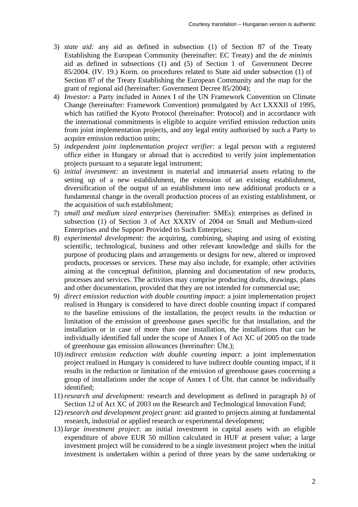- 3) *state aid:* any aid as defined in subsection (1) of Section 87 of the Treaty Establishing the European Community (hereinafter: EC Treaty) and the *de minimis* aid as defined in subsections (1) and (5) of Section 1 of Government Decree 85/2004. (IV. 19.) Korm. on procedures related to State aid under subsection (1) of Section 87 of the Treaty Establishing the European Community and the map for the grant of regional aid (hereinafter: Government Decree 85/2004);
- 4) *Investor:* a Party included in Annex I of the UN Framework Convention on Climate Change (hereinafter: Framework Convention) promulgated by Act LXXXII of 1995, which has ratified the Kyoto Protocol (hereinafter: Protocol) and in accordance with the international commitments is eligible to acquire verified emission reduction units from joint implementation projects, and any legal entity authorised by such a Party to acquire emission reduction units;
- 5) *independent joint implementation project verifier:* a legal person with a registered office either in Hungary or abroad that is accredited to verify joint implementation projects pursuant to a separate legal instrument;
- 6) *initial investment:* an investment in material and immaterial assets relating to the setting up of a new establishment, the extension of an existing establishment, diversification of the output of an establishment into new additional products or a fundamental change in the overall production process of an existing establishment, or the acquisition of such establishment;
- 7) *small and medium sized enterprises* (hereinafter: SMEs): enterprises as defined in subsection (1) of Section 3 of Act XXXIV of 2004 on Small and Medium-sized Enterprises and the Support Provided to Such Enterprises;
- 8) *experimental development:* the acquiring, combining, shaping and using of existing scientific, technological, business and other relevant knowledge and skills for the purpose of producing plans and arrangements or designs for new, altered or improved products, processes or services. These may also include, for example, other activities aiming at the conceptual definition, planning and documentation of new products, processes and services. The activities may comprise producing drafts, drawings, plans and other documentation, provided that they are not intended for commercial use;
- 9) *direct emission reduction with double counting impact*: a joint implementation project realised in Hungary is considered to have direct double counting impact if compared to the baseline emissions of the installation, the project results in the reduction or limitation of the emission of greenhouse gases specific for that installation, and the installation or in case of more than one installation, the installations that can be individually identified fall under the scope of Annex I of Act XC of 2005 on the trade of greenhouse gas emission allowances (hereinafter: Üht.);
- 10) *indirect emission reduction with double counting impact*: a joint implementation project realised in Hungary is considered to have indirect double counting impact, if it results in the reduction or limitation of the emission of greenhouse gases concerning a group of installations under the scope of Annex I of Üht. that cannot be individually identified;
- 11)*research and development:* research and development as defined in paragraph *b)* of Section 12 of Act XC of 2003 on the Research and Technological Innovation Fund;
- 12)*research and development project grant:* aid granted to projects aiming at fundamental research, industrial or applied research or experimental development;
- 13) *large investment project*: an initial investment in capital assets with an eligible expenditure of above EUR 50 million calculated in HUF at present value; a large investment project will be considered to be a single investment project when the initial investment is undertaken within a period of three years by the same undertaking or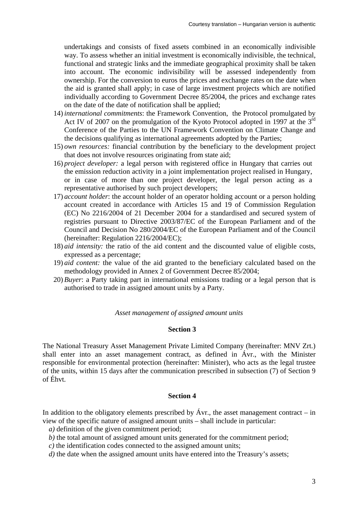undertakings and consists of fixed assets combined in an economically indivisible way. To assess whether an initial investment is economically indivisible, the technical, functional and strategic links and the immediate geographical proximity shall be taken into account. The economic indivisibility will be assessed independently from ownership. For the conversion to euros the prices and exchange rates on the date when the aid is granted shall apply; in case of large investment projects which are notified individually according to Government Decree 85/2004, the prices and exchange rates on the date of the date of notification shall be applied;

- 14) *international commitments*: the Framework Convention, the Protocol promulgated by Act IV of 2007 on the promulgation of the Kyoto Protocol adopted in 1997 at the  $3<sup>rd</sup>$ Conference of the Parties to the UN Framework Convention on Climate Change and the decisions qualifying as international agreements adopted by the Parties;
- 15) *own resources:* financial contribution by the beneficiary to the development project that does not involve resources originating from state aid;
- 16) *project developer:* a legal person with registered office in Hungary that carries out the emission reduction activity in a joint implementation project realised in Hungary, or in case of more than one project developer, the legal person acting as a representative authorised by such project developers;
- 17) *account holder*: the account holder of an operator holding account or a person holding account created in accordance with Articles 15 and 19 of Commission Regulation (EC) No 2216/2004 of 21 December 2004 for a standardised and secured system of registries pursuant to Directive 2003/87/EC of the European Parliament and of the Council and Decision No 280/2004/EC of the European Parliament and of the Council (hereinafter: Regulation 2216/2004/EC);
- 18) *aid intensity:* the ratio of the aid content and the discounted value of eligible costs, expressed as a percentage;
- 19) *aid content:* the value of the aid granted to the beneficiary calculated based on the methodology provided in Annex 2 of Government Decree 85/2004;
- 20) *Buyer*: a Party taking part in international emissions trading or a legal person that is authorised to trade in assigned amount units by a Party.

#### *Asset management of assigned amount units*

#### **Section 3**

The National Treasury Asset Management Private Limited Company (hereinafter: MNV Zrt.) shall enter into an asset management contract, as defined in Ávr., with the Minister responsible for environmental protection (hereinafter: Minister), who acts as the legal trustee of the units, within 15 days after the communication prescribed in subsection (7) of Section 9 of Éhvt.

#### **Section 4**

In addition to the obligatory elements prescribed by Ávr., the asset management contract – in view of the specific nature of assigned amount units – shall include in particular:

- *a*) definition of the given commitment period;
- *b)* the total amount of assigned amount units generated for the commitment period;
- *c)* the identification codes connected to the assigned amount units;
- *d*) the date when the assigned amount units have entered into the Treasury's assets;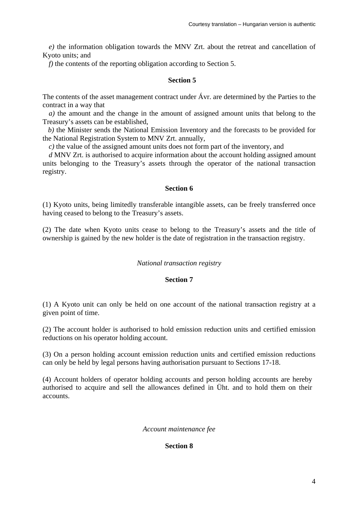*e)* the information obligation towards the MNV Zrt. about the retreat and cancellation of Kyoto units; and

*f)* the contents of the reporting obligation according to Section 5.

#### **Section 5**

The contents of the asset management contract under Ávr. are determined by the Parties to the contract in a way that

*a)* the amount and the change in the amount of assigned amount units that belong to the Treasury's assets can be established,

*b)* the Minister sends the National Emission Inventory and the forecasts to be provided for the National Registration System to MNV Zrt. annually,

*c)* the value of the assigned amount units does not form part of the inventory, and

*d* MNV Zrt. is authorised to acquire information about the account holding assigned amount units belonging to the Treasury's assets through the operator of the national transaction registry.

#### **Section 6**

(1) Kyoto units, being limitedly transferable intangible assets, can be freely transferred once having ceased to belong to the Treasury's assets.

(2) The date when Kyoto units cease to belong to the Treasury's assets and the title of ownership is gained by the new holder is the date of registration in the transaction registry.

#### *National transaction registry*

#### **Section 7**

(1) A Kyoto unit can only be held on one account of the national transaction registry at a given point of time.

(2) The account holder is authorised to hold emission reduction units and certified emission reductions on his operator holding account.

(3) On a person holding account emission reduction units and certified emission reductions can only be held by legal persons having authorisation pursuant to Sections 17-18.

(4) Account holders of operator holding accounts and person holding accounts are hereby authorised to acquire and sell the allowances defined in Üht. and to hold them on their accounts.

### *Account maintenance fee*

### **Section 8**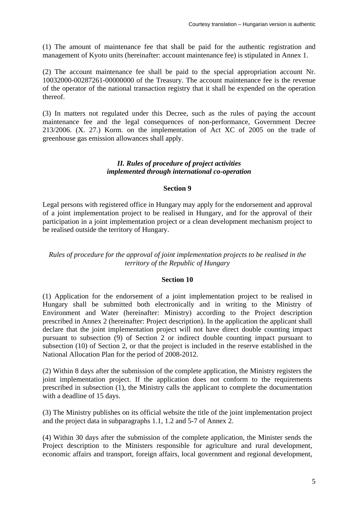(1) The amount of maintenance fee that shall be paid for the authentic registration and management of Kyoto units (hereinafter: account maintenance fee) is stipulated in Annex 1.

(2) The account maintenance fee shall be paid to the special appropriation account Nr. 10032000-00287261-00000000 of the Treasury. The account maintenance fee is the revenue of the operator of the national transaction registry that it shall be expended on the operation thereof.

(3) In matters not regulated under this Decree, such as the rules of paying the account maintenance fee and the legal consequences of non-performance, Government Decree 213/2006. (X. 27.) Korm. on the implementation of Act XC of 2005 on the trade of greenhouse gas emission allowances shall apply.

#### *II. Rules of procedure of project activities implemented through international co-operation*

#### **Section 9**

Legal persons with registered office in Hungary may apply for the endorsement and approval of a joint implementation project to be realised in Hungary, and for the approval of their participation in a joint implementation project or a clean development mechanism project to be realised outside the territory of Hungary.

# *Rules of procedure for the approval of joint implementation projects to be realised in the territory of the Republic of Hungary*

#### **Section 10**

(1) Application for the endorsement of a joint implementation project to be realised in Hungary shall be submitted both electronically and in writing to the Ministry of Environment and Water (hereinafter: Ministry) according to the Project description prescribed in Annex 2 (hereinafter: Project description). In the application the applicant shall declare that the joint implementation project will not have direct double counting impact pursuant to subsection (9) of Section 2 or indirect double counting impact pursuant to subsection (10) of Section 2, or that the project is included in the reserve established in the National Allocation Plan for the period of 2008-2012.

(2) Within 8 days after the submission of the complete application, the Ministry registers the joint implementation project. If the application does not conform to the requirements prescribed in subsection (1), the Ministry calls the applicant to complete the documentation with a deadline of 15 days.

(3) The Ministry publishes on its official website the title of the joint implementation project and the project data in subparagraphs 1.1, 1.2 and 5-7 of Annex 2.

(4) Within 30 days after the submission of the complete application, the Minister sends the Project description to the Ministers responsible for agriculture and rural development, economic affairs and transport, foreign affairs, local government and regional development,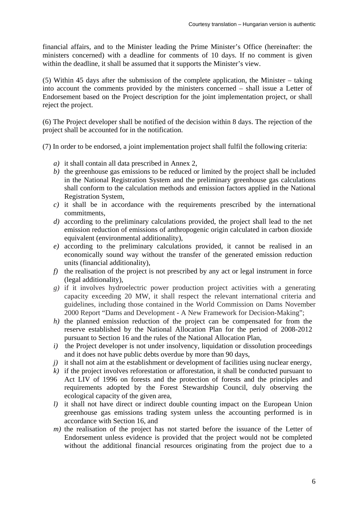financial affairs, and to the Minister leading the Prime Minister's Office (hereinafter: the ministers concerned) with a deadline for comments of 10 days. If no comment is given within the deadline, it shall be assumed that it supports the Minister's view.

(5) Within 45 days after the submission of the complete application, the Minister – taking into account the comments provided by the ministers concerned – shall issue a Letter of Endorsement based on the Project description for the joint implementation project, or shall reject the project.

(6) The Project developer shall be notified of the decision within 8 days. The rejection of the project shall be accounted for in the notification.

(7) In order to be endorsed, a joint implementation project shall fulfil the following criteria:

- *a)* it shall contain all data prescribed in Annex 2,
- *b)* the greenhouse gas emissions to be reduced or limited by the project shall be included in the National Registration System and the preliminary greenhouse gas calculations shall conform to the calculation methods and emission factors applied in the National Registration System,
- *c)* it shall be in accordance with the requirements prescribed by the international commitments,
- *d)* according to the preliminary calculations provided, the project shall lead to the net emission reduction of emissions of anthropogenic origin calculated in carbon dioxide equivalent (environmental additionality),
- *e)* according to the preliminary calculations provided, it cannot be realised in an economically sound way without the transfer of the generated emission reduction units (financial additionality),
- *f)* the realisation of the project is not prescribed by any act or legal instrument in force (legal additionality),
- *g)* if it involves hydroelectric power production project activities with a generating capacity exceeding 20 MW, it shall respect the relevant international criteria and guidelines, including those contained in the World Commission on Dams November 2000 Report "Dams and Development - A New Framework for Decision-Making";
- *h)* the planned emission reduction of the project can be compensated for from the reserve established by the National Allocation Plan for the period of 2008-2012 pursuant to Section 16 and the rules of the National Allocation Plan,
- *i*) the Project developer is not under insolvency, liquidation or dissolution proceedings and it does not have public debts overdue by more than 90 days,
- *j*) it shall not aim at the establishment or development of facilities using nuclear energy,
- *k)* if the project involves reforestation or afforestation, it shall be conducted pursuant to Act LIV of 1996 on forests and the protection of forests and the principles and requirements adopted by the Forest Stewardship Council, duly observing the ecological capacity of the given area,
- *l)* it shall not have direct or indirect double counting impact on the European Union greenhouse gas emissions trading system unless the accounting performed is in accordance with Section 16, and
- *m*) the realisation of the project has not started before the issuance of the Letter of Endorsement unless evidence is provided that the project would not be completed without the additional financial resources originating from the project due to a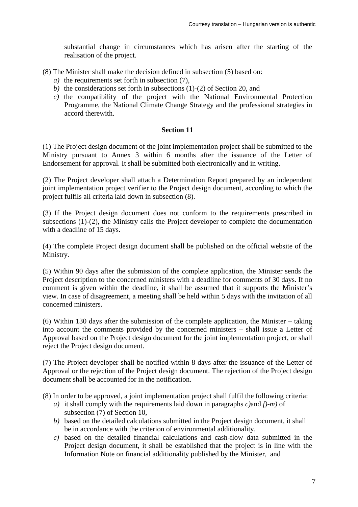substantial change in circumstances which has arisen after the starting of the realisation of the project.

(8) The Minister shall make the decision defined in subsection (5) based on:

- *a)* the requirements set forth in subsection (7),
- *b)* the considerations set forth in subsections (1)-(2) of Section 20, and
- *c)* the compatibility of the project with the National Environmental Protection Programme, the National Climate Change Strategy and the professional strategies in accord therewith.

## **Section 11**

(1) The Project design document of the joint implementation project shall be submitted to the Ministry pursuant to Annex 3 within 6 months after the issuance of the Letter of Endorsement for approval. It shall be submitted both electronically and in writing.

(2) The Project developer shall attach a Determination Report prepared by an independent joint implementation project verifier to the Project design document, according to which the project fulfils all criteria laid down in subsection (8).

(3) If the Project design document does not conform to the requirements prescribed in subsections (1)-(2), the Ministry calls the Project developer to complete the documentation with a deadline of 15 days.

(4) The complete Project design document shall be published on the official website of the Ministry.

(5) Within 90 days after the submission of the complete application, the Minister sends the Project description to the concerned ministers with a deadline for comments of 30 days. If no comment is given within the deadline, it shall be assumed that it supports the Minister's view. In case of disagreement, a meeting shall be held within 5 days with the invitation of all concerned ministers.

(6) Within 130 days after the submission of the complete application, the Minister – taking into account the comments provided by the concerned ministers – shall issue a Letter of Approval based on the Project design document for the joint implementation project, or shall reject the Project design document.

(7) The Project developer shall be notified within 8 days after the issuance of the Letter of Approval or the rejection of the Project design document. The rejection of the Project design document shall be accounted for in the notification.

(8) In order to be approved, a joint implementation project shall fulfil the following criteria:

- *a)* it shall comply with the requirements laid down in paragraphs *c)*and *f)-m)* of subsection (7) of Section 10,
- *b)* based on the detailed calculations submitted in the Project design document, it shall be in accordance with the criterion of environmental additionality,
- *c)* based on the detailed financial calculations and cash-flow data submitted in the Project design document, it shall be established that the project is in line with the Information Note on financial additionality published by the Minister, and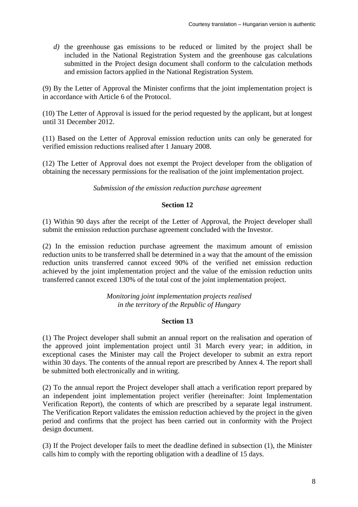*d)* the greenhouse gas emissions to be reduced or limited by the project shall be included in the National Registration System and the greenhouse gas calculations submitted in the Project design document shall conform to the calculation methods and emission factors applied in the National Registration System.

(9) By the Letter of Approval the Minister confirms that the joint implementation project is in accordance with Article 6 of the Protocol.

(10) The Letter of Approval is issued for the period requested by the applicant, but at longest until 31 December 2012.

(11) Based on the Letter of Approval emission reduction units can only be generated for verified emission reductions realised after 1 January 2008.

(12) The Letter of Approval does not exempt the Project developer from the obligation of obtaining the necessary permissions for the realisation of the joint implementation project.

*Submission of the emission reduction purchase agreement*

# **Section 12**

(1) Within 90 days after the receipt of the Letter of Approval, the Project developer shall submit the emission reduction purchase agreement concluded with the Investor.

(2) In the emission reduction purchase agreement the maximum amount of emission reduction units to be transferred shall be determined in a way that the amount of the emission reduction units transferred cannot exceed 90% of the verified net emission reduction achieved by the joint implementation project and the value of the emission reduction units transferred cannot exceed 130% of the total cost of the joint implementation project.

> *Monitoring joint implementation projects realised in the territory of the Republic of Hungary*

# **Section 13**

(1) The Project developer shall submit an annual report on the realisation and operation of the approved joint implementation project until 31 March every year; in addition, in exceptional cases the Minister may call the Project developer to submit an extra report within 30 days. The contents of the annual report are prescribed by Annex 4. The report shall be submitted both electronically and in writing.

(2) To the annual report the Project developer shall attach a verification report prepared by an independent joint implementation project verifier (hereinafter: Joint Implementation Verification Report), the contents of which are prescribed by a separate legal instrument. The Verification Report validates the emission reduction achieved by the project in the given period and confirms that the project has been carried out in conformity with the Project design document.

(3) If the Project developer fails to meet the deadline defined in subsection (1), the Minister calls him to comply with the reporting obligation with a deadline of 15 days.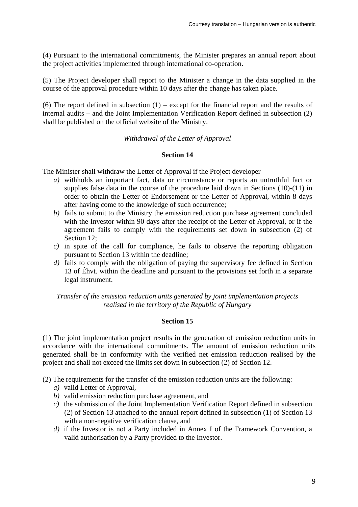(4) Pursuant to the international commitments, the Minister prepares an annual report about the project activities implemented through international co-operation.

(5) The Project developer shall report to the Minister a change in the data supplied in the course of the approval procedure within 10 days after the change has taken place.

(6) The report defined in subsection  $(1)$  – except for the financial report and the results of internal audits – and the Joint Implementation Verification Report defined in subsection (2) shall be published on the official website of the Ministry.

*Withdrawal of the Letter of Approval*

#### **Section 14**

The Minister shall withdraw the Letter of Approval if the Project developer

- *a)* withholds an important fact, data or circumstance or reports an untruthful fact or supplies false data in the course of the procedure laid down in Sections (10)-(11) in order to obtain the Letter of Endorsement or the Letter of Approval, within 8 days after having come to the knowledge of such occurrence;
- *b)* fails to submit to the Ministry the emission reduction purchase agreement concluded with the Investor within 90 days after the receipt of the Letter of Approval, or if the agreement fails to comply with the requirements set down in subsection (2) of Section 12:
- *c)* in spite of the call for compliance, he fails to observe the reporting obligation pursuant to Section 13 within the deadline;
- *d)* fails to comply with the obligation of paying the supervisory fee defined in Section 13 of Éhvt. within the deadline and pursuant to the provisions set forth in a separate legal instrument.

*Transfer of the emission reduction units generated by joint implementation projects realised in the territory of the Republic of Hungary*

### **Section 15**

(1) The joint implementation project results in the generation of emission reduction units in accordance with the international commitments. The amount of emission reduction units generated shall be in conformity with the verified net emission reduction realised by the project and shall not exceed the limits set down in subsection (2) of Section 12.

(2) The requirements for the transfer of the emission reduction units are the following:

- *a)* valid Letter of Approval,
- *b)* valid emission reduction purchase agreement, and
- *c)* the submission of the Joint Implementation Verification Report defined in subsection (2) of Section 13 attached to the annual report defined in subsection (1) of Section 13 with a non-negative verification clause, and
- *d)* if the Investor is not a Party included in Annex I of the Framework Convention, a valid authorisation by a Party provided to the Investor.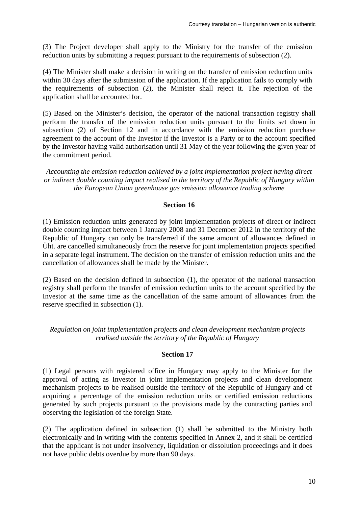(3) The Project developer shall apply to the Ministry for the transfer of the emission reduction units by submitting a request pursuant to the requirements of subsection (2).

(4) The Minister shall make a decision in writing on the transfer of emission reduction units within 30 days after the submission of the application. If the application fails to comply with the requirements of subsection (2), the Minister shall reject it. The rejection of the application shall be accounted for.

(5) Based on the Minister's decision, the operator of the national transaction registry shall perform the transfer of the emission reduction units pursuant to the limits set down in subsection (2) of Section 12 and in accordance with the emission reduction purchase agreement to the account of the Investor if the Investor is a Party or to the account specified by the Investor having valid authorisation until 31 May of the year following the given year of the commitment period.

*Accounting the emission reduction achieved by a joint implementation project having direct or indirect double counting impact realised in the territory of the Republic of Hungary within the European Union greenhouse gas emission allowance trading scheme*

# **Section 16**

(1) Emission reduction units generated by joint implementation projects of direct or indirect double counting impact between 1 January 2008 and 31 December 2012 in the territory of the Republic of Hungary can only be transferred if the same amount of allowances defined in Üht. are cancelled simultaneously from the reserve for joint implementation projects specified in a separate legal instrument. The decision on the transfer of emission reduction units and the cancellation of allowances shall be made by the Minister.

(2) Based on the decision defined in subsection (1), the operator of the national transaction registry shall perform the transfer of emission reduction units to the account specified by the Investor at the same time as the cancellation of the same amount of allowances from the reserve specified in subsection (1).

*Regulation on joint implementation projects and clean development mechanism projects realised outside the territory of the Republic of Hungary*

# **Section 17**

(1) Legal persons with registered office in Hungary may apply to the Minister for the approval of acting as Investor in joint implementation projects and clean development mechanism projects to be realised outside the territory of the Republic of Hungary and of acquiring a percentage of the emission reduction units or certified emission reductions generated by such projects pursuant to the provisions made by the contracting parties and observing the legislation of the foreign State.

(2) The application defined in subsection (1) shall be submitted to the Ministry both electronically and in writing with the contents specified in Annex 2, and it shall be certified that the applicant is not under insolvency, liquidation or dissolution proceedings and it does not have public debts overdue by more than 90 days.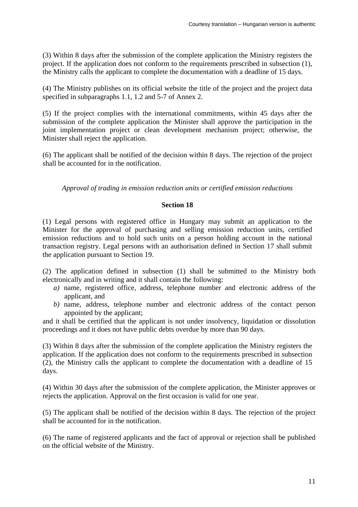(3) Within 8 days after the submission of the complete application the Ministry registers the project. If the application does not conform to the requirements prescribed in subsection (1), the Ministry calls the applicant to complete the documentation with a deadline of 15 days.

(4) The Ministry publishes on its official website the title of the project and the project data specified in subparagraphs 1.1, 1.2 and 5-7 of Annex 2.

(5) If the project complies with the international commitments, within 45 days after the submission of the complete application the Minister shall approve the participation in the joint implementation project or clean development mechanism project; otherwise, the Minister shall reject the application.

(6) The applicant shall be notified of the decision within 8 days. The rejection of the project shall be accounted for in the notification.

*Approval of trading in emission reduction units or certified emission reductions*

#### **Section 18**

(1) Legal persons with registered office in Hungary may submit an application to the Minister for the approval of purchasing and selling emission reduction units, certified emission reductions and to hold such units on a person holding account in the national transaction registry. Legal persons with an authorisation defined in Section 17 shall submit the application pursuant to Section 19.

(2) The application defined in subsection (1) shall be submitted to the Ministry both electronically and in writing and it shall contain the following:

- *a)* name, registered office, address, telephone number and electronic address of the applicant, and
- *b)* name, address, telephone number and electronic address of the contact person appointed by the applicant;

and it shall be certified that the applicant is not under insolvency, liquidation or dissolution proceedings and it does not have public debts overdue by more than 90 days.

(3) Within 8 days after the submission of the complete application the Ministry registers the application. If the application does not conform to the requirements prescribed in subsection (2), the Ministry calls the applicant to complete the documentation with a deadline of 15 days.

(4) Within 30 days after the submission of the complete application, the Minister approves or rejects the application. Approval on the first occasion is valid for one year.

(5) The applicant shall be notified of the decision within 8 days. The rejection of the project shall be accounted for in the notification.

(6) The name of registered applicants and the fact of approval or rejection shall be published on the official website of the Ministry.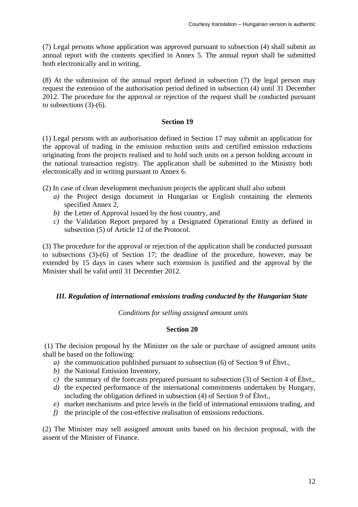(7) Legal persons whose application was approved pursuant to subsection (4) shall submit an annual report with the contents specified in Annex 5. The annual report shall be submitted both electronically and in writing.

(8) At the submission of the annual report defined in subsection (7) the legal person may request the extension of the authorisation period defined in subsection (4) until 31 December 2012. The procedure for the approval or rejection of the request shall be conducted pursuant to subsections (3)-(6).

### **Section 19**

(1) Legal persons with an authorisation defined in Section 17 may submit an application for the approval of trading in the emission reduction units and certified emission reductions originating from the projects realised and to hold such units on a person holding account in the national transaction registry. The application shall be submitted to the Ministry both electronically and in writing pursuant to Annex 6.

(2) In case of clean development mechanism projects the applicant shall also submit

- *a)* the Project design document in Hungarian or English containing the elements specified Annex 2,
- *b)* the Letter of Approval issued by the host country, and
- *c)* the Validation Report prepared by a Designated Operational Entity as defined in subsection (5) of Article 12 of the Protocol.

(3) The procedure for the approval or rejection of the application shall be conducted pursuant to subsections (3)-(6) of Section 17; the deadline of the procedure, however, may be extended by 15 days in cases where such extension is justified and the approval by the Minister shall be valid until 31 December 2012.

# *III. Regulation of international emissions trading conducted by the Hungarian State*

*Conditions for selling assigned amount units* 

# **Section 20**

 (1) The decision proposal by the Minister on the sale or purchase of assigned amount units shall be based on the following:

- *a)* the communication published pursuant to subsection (6) of Section 9 of Éhvt.,
- *b)* the National Emission Inventory,
- *c)* the summary of the forecasts prepared pursuant to subsection (3) of Section 4 of Éhvt.,
- *d)* the expected performance of the international commitments undertaken by Hungary, including the obligation defined in subsection (4) of Section 9 of Éhvt.,
- *e)* market mechanisms and price levels in the field of international emissions trading, and
- *f)* the principle of the cost-effective realisation of emissions reductions.

(2) The Minister may sell assigned amount units based on his decision proposal, with the assent of the Minister of Finance.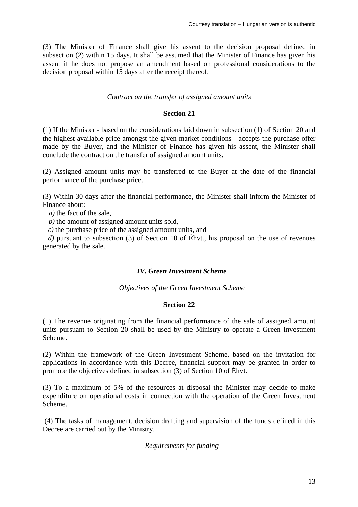(3) The Minister of Finance shall give his assent to the decision proposal defined in subsection (2) within 15 days. It shall be assumed that the Minister of Finance has given his assent if he does not propose an amendment based on professional considerations to the decision proposal within 15 days after the receipt thereof.

## *Contract on the transfer of assigned amount units*

### **Section 21**

(1) If the Minister - based on the considerations laid down in subsection (1) of Section 20 and the highest available price amongst the given market conditions - accepts the purchase offer made by the Buyer, and the Minister of Finance has given his assent, the Minister shall conclude the contract on the transfer of assigned amount units.

(2) Assigned amount units may be transferred to the Buyer at the date of the financial performance of the purchase price.

(3) Within 30 days after the financial performance, the Minister shall inform the Minister of Finance about:

*a*) the fact of the sale.

*b)* the amount of assigned amount units sold,

*c)* the purchase price of the assigned amount units, and

*d)* pursuant to subsection (3) of Section 10 of Éhvt., his proposal on the use of revenues generated by the sale.

# *IV. Green Investment Scheme*

*Objectives of the Green Investment Scheme* 

### **Section 22**

(1) The revenue originating from the financial performance of the sale of assigned amount units pursuant to Section 20 shall be used by the Ministry to operate a Green Investment Scheme.

(2) Within the framework of the Green Investment Scheme, based on the invitation for applications in accordance with this Decree, financial support may be granted in order to promote the objectives defined in subsection (3) of Section 10 of Éhvt.

(3) To a maximum of 5% of the resources at disposal the Minister may decide to make expenditure on operational costs in connection with the operation of the Green Investment Scheme.

 (4) The tasks of management, decision drafting and supervision of the funds defined in this Decree are carried out by the Ministry.

### *Requirements for funding*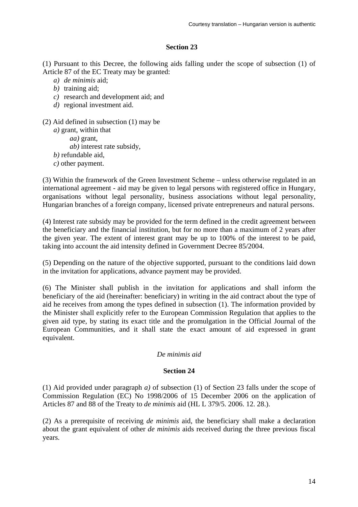# **Section 23**

(1) Pursuant to this Decree, the following aids falling under the scope of subsection (1) of Article 87 of the EC Treaty may be granted:

- *a) de minimis* aid;
- *b)* training aid;
- *c)* research and development aid; and
- *d)* regional investment aid.
- (2) Aid defined in subsection (1) may be
	- *a)* grant, within that
		- *aa)* grant,
		- *ab)* interest rate subsidy,
	- *b)* refundable aid,
	- *c)* other payment.

(3) Within the framework of the Green Investment Scheme – unless otherwise regulated in an international agreement - aid may be given to legal persons with registered office in Hungary, organisations without legal personality, business associations without legal personality, Hungarian branches of a foreign company, licensed private entrepreneurs and natural persons.

(4) Interest rate subsidy may be provided for the term defined in the credit agreement between the beneficiary and the financial institution, but for no more than a maximum of 2 years after the given year. The extent of interest grant may be up to 100% of the interest to be paid, taking into account the aid intensity defined in Government Decree 85/2004.

(5) Depending on the nature of the objective supported, pursuant to the conditions laid down in the invitation for applications, advance payment may be provided.

(6) The Minister shall publish in the invitation for applications and shall inform the beneficiary of the aid (hereinafter: beneficiary) in writing in the aid contract about the type of aid he receives from among the types defined in subsection (1). The information provided by the Minister shall explicitly refer to the European Commission Regulation that applies to the given aid type, by stating its exact title and the promulgation in the Official Journal of the European Communities, and it shall state the exact amount of aid expressed in grant equivalent.

# *De minimis aid*

# **Section 24**

(1) Aid provided under paragraph *a)* of subsection (1) of Section 23 falls under the scope of Commission Regulation (EC) No 1998/2006 of 15 December 2006 on the application of Articles 87 and 88 of the Treaty to *de minimis* aid (HL L 379/5. 2006. 12. 28.).

(2) As a prerequisite of receiving *de minimis* aid, the beneficiary shall make a declaration about the grant equivalent of other *de minimis* aids received during the three previous fiscal years.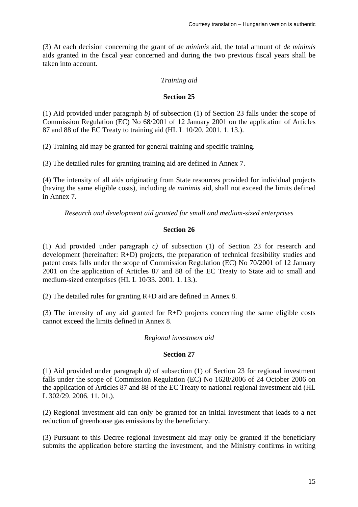(3) At each decision concerning the grant of *de minimis* aid, the total amount of *de minimis* aids granted in the fiscal year concerned and during the two previous fiscal years shall be taken into account.

# *Training aid*

## **Section 25**

(1) Aid provided under paragraph *b)* of subsection (1) of Section 23 falls under the scope of Commission Regulation (EC) No 68/2001 of 12 January 2001 on the application of Articles 87 and 88 of the EC Treaty to training aid (HL L 10/20. 2001. 1. 13.).

(2) Training aid may be granted for general training and specific training.

(3) The detailed rules for granting training aid are defined in Annex 7.

(4) The intensity of all aids originating from State resources provided for individual projects (having the same eligible costs), including *de minimis* aid, shall not exceed the limits defined in Annex 7.

*Research and development aid granted for small and medium-sized enterprises*

## **Section 26**

(1) Aid provided under paragraph *c)* of subsection (1) of Section 23 for research and development (hereinafter: R+D) projects, the preparation of technical feasibility studies and patent costs falls under the scope of Commission Regulation (EC) No 70/2001 of 12 January 2001 on the application of Articles 87 and 88 of the EC Treaty to State aid to small and medium-sized enterprises (HL L 10/33. 2001. 1. 13.).

(2) The detailed rules for granting R+D aid are defined in Annex 8.

(3) The intensity of any aid granted for R+D projects concerning the same eligible costs cannot exceed the limits defined in Annex 8.

### *Regional investment aid*

### **Section 27**

(1) Aid provided under paragraph *d)* of subsection (1) of Section 23 for regional investment falls under the scope of Commission Regulation (EC) No 1628/2006 of 24 October 2006 on the application of Articles 87 and 88 of the EC Treaty to national regional investment aid (HL L 302/29. 2006. 11. 01.).

(2) Regional investment aid can only be granted for an initial investment that leads to a net reduction of greenhouse gas emissions by the beneficiary.

(3) Pursuant to this Decree regional investment aid may only be granted if the beneficiary submits the application before starting the investment, and the Ministry confirms in writing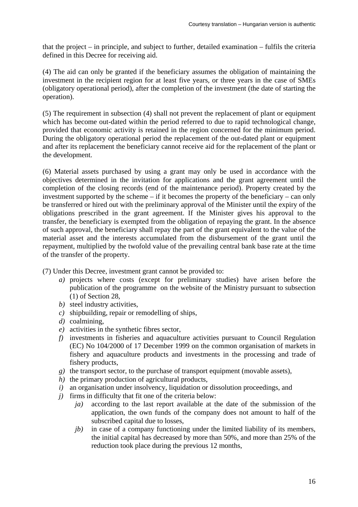that the project – in principle, and subject to further, detailed examination – fulfils the criteria defined in this Decree for receiving aid.

(4) The aid can only be granted if the beneficiary assumes the obligation of maintaining the investment in the recipient region for at least five years, or three years in the case of SMEs (obligatory operational period), after the completion of the investment (the date of starting the operation).

(5) The requirement in subsection (4) shall not prevent the replacement of plant or equipment which has become out-dated within the period referred to due to rapid technological change, provided that economic activity is retained in the region concerned for the minimum period. During the obligatory operational period the replacement of the out-dated plant or equipment and after its replacement the beneficiary cannot receive aid for the replacement of the plant or the development.

(6) Material assets purchased by using a grant may only be used in accordance with the objectives determined in the invitation for applications and the grant agreement until the completion of the closing records (end of the maintenance period). Property created by the investment supported by the scheme – if it becomes the property of the beneficiary – can only be transferred or hired out with the preliminary approval of the Minister until the expiry of the obligations prescribed in the grant agreement. If the Minister gives his approval to the transfer, the beneficiary is exempted from the obligation of repaying the grant. In the absence of such approval, the beneficiary shall repay the part of the grant equivalent to the value of the material asset and the interests accumulated from the disbursement of the grant until the repayment, multiplied by the twofold value of the prevailing central bank base rate at the time of the transfer of the property.

(7) Under this Decree, investment grant cannot be provided to:

- *a)* projects where costs (except for preliminary studies) have arisen before the publication of the programme on the website of the Ministry pursuant to subsection (1) of Section 28,
- *b)* steel industry activities,
- *c)* shipbuilding, repair or remodelling of ships,
- *d)* coalmining,
- *e)* activities in the synthetic fibres sector,
- *f)* investments in fisheries and aquaculture activities pursuant to Council Regulation (EC) No 104/2000 of 17 December 1999 on the common organisation of markets in fishery and aquaculture products and investments in the processing and trade of fishery products,
- *g)* the transport sector, to the purchase of transport equipment (movable assets),
- *h*) the primary production of agricultural products,
- *i)* an organisation under insolvency, liquidation or dissolution proceedings, and
- *j)* firms in difficulty that fit one of the criteria below:
	- *ja)* according to the last report available at the date of the submission of the application, the own funds of the company does not amount to half of the subscribed capital due to losses,
	- *jb)* in case of a company functioning under the limited liability of its members, the initial capital has decreased by more than 50%, and more than 25% of the reduction took place during the previous 12 months,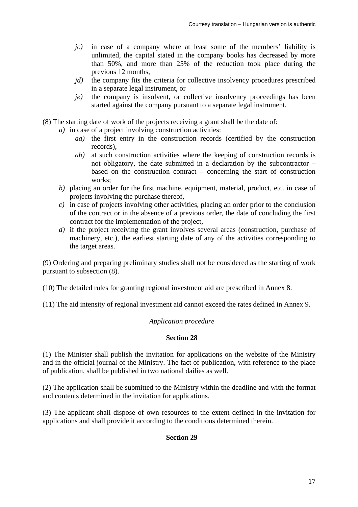- *jc)* in case of a company where at least some of the members' liability is unlimited, the capital stated in the company books has decreased by more than 50%, and more than 25% of the reduction took place during the previous 12 months,
- *jd*) the company fits the criteria for collective insolvency procedures prescribed in a separate legal instrument, or
- *je)* the company is insolvent, or collective insolvency proceedings has been started against the company pursuant to a separate legal instrument.
- (8) The starting date of work of the projects receiving a grant shall be the date of:
	- *a)* in case of a project involving construction activities:
		- *aa)* the first entry in the construction records (certified by the construction records),
		- *ab)* at such construction activities where the keeping of construction records is not obligatory, the date submitted in a declaration by the subcontractor – based on the construction contract – concerning the start of construction works;
	- *b)* placing an order for the first machine, equipment, material, product, etc. in case of projects involving the purchase thereof,
	- *c)* in case of projects involving other activities, placing an order prior to the conclusion of the contract or in the absence of a previous order, the date of concluding the first contract for the implementation of the project,
	- *d*) if the project receiving the grant involves several areas (construction, purchase of machinery, etc.), the earliest starting date of any of the activities corresponding to the target areas.

(9) Ordering and preparing preliminary studies shall not be considered as the starting of work pursuant to subsection (8).

(10) The detailed rules for granting regional investment aid are prescribed in Annex 8.

(11) The aid intensity of regional investment aid cannot exceed the rates defined in Annex 9.

### *Application procedure*

### **Section 28**

(1) The Minister shall publish the invitation for applications on the website of the Ministry and in the official journal of the Ministry. The fact of publication, with reference to the place of publication, shall be published in two national dailies as well.

(2) The application shall be submitted to the Ministry within the deadline and with the format and contents determined in the invitation for applications.

(3) The applicant shall dispose of own resources to the extent defined in the invitation for applications and shall provide it according to the conditions determined therein.

# **Section 29**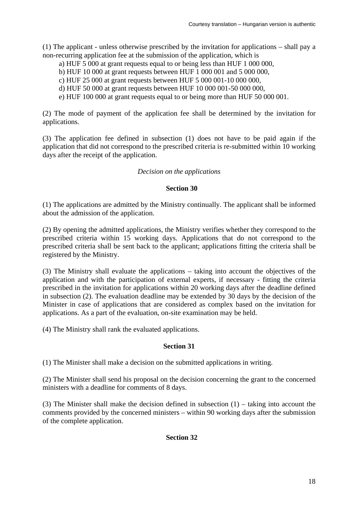(1) The applicant - unless otherwise prescribed by the invitation for applications – shall pay a non-recurring application fee at the submission of the application, which is

- a) HUF 5 000 at grant requests equal to or being less than HUF 1 000 000,
- b) HUF 10 000 at grant requests between HUF 1 000 001 and 5 000 000,
- c) HUF 25 000 at grant requests between HUF 5 000 001-10 000 000,
- d) HUF 50 000 at grant requests between HUF 10 000 001-50 000 000,
- e) HUF 100 000 at grant requests equal to or being more than HUF 50 000 001.

(2) The mode of payment of the application fee shall be determined by the invitation for applications.

(3) The application fee defined in subsection (1) does not have to be paid again if the application that did not correspond to the prescribed criteria is re-submitted within 10 working days after the receipt of the application.

### *Decision on the applications*

## **Section 30**

(1) The applications are admitted by the Ministry continually. The applicant shall be informed about the admission of the application.

(2) By opening the admitted applications, the Ministry verifies whether they correspond to the prescribed criteria within 15 working days. Applications that do not correspond to the prescribed criteria shall be sent back to the applicant; applications fitting the criteria shall be registered by the Ministry.

(3) The Ministry shall evaluate the applications – taking into account the objectives of the application and with the participation of external experts, if necessary - fitting the criteria prescribed in the invitation for applications within 20 working days after the deadline defined in subsection (2). The evaluation deadline may be extended by 30 days by the decision of the Minister in case of applications that are considered as complex based on the invitation for applications. As a part of the evaluation, on-site examination may be held.

(4) The Ministry shall rank the evaluated applications.

### **Section 31**

(1) The Minister shall make a decision on the submitted applications in writing.

(2) The Minister shall send his proposal on the decision concerning the grant to the concerned ministers with a deadline for comments of 8 days.

(3) The Minister shall make the decision defined in subsection (1) – taking into account the comments provided by the concerned ministers – within 90 working days after the submission of the complete application.

**Section 32**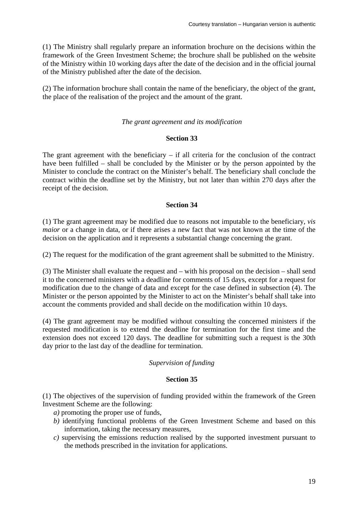(1) The Ministry shall regularly prepare an information brochure on the decisions within the framework of the Green Investment Scheme; the brochure shall be published on the website of the Ministry within 10 working days after the date of the decision and in the official journal of the Ministry published after the date of the decision.

(2) The information brochure shall contain the name of the beneficiary, the object of the grant, the place of the realisation of the project and the amount of the grant.

#### *The grant agreement and its modification*

#### **Section 33**

The grant agreement with the beneficiary  $-$  if all criteria for the conclusion of the contract have been fulfilled – shall be concluded by the Minister or by the person appointed by the Minister to conclude the contract on the Minister's behalf. The beneficiary shall conclude the contract within the deadline set by the Ministry, but not later than within 270 days after the receipt of the decision.

#### **Section 34**

(1) The grant agreement may be modified due to reasons not imputable to the beneficiary, *vis maior* or a change in data, or if there arises a new fact that was not known at the time of the decision on the application and it represents a substantial change concerning the grant.

(2) The request for the modification of the grant agreement shall be submitted to the Ministry.

(3) The Minister shall evaluate the request and – with his proposal on the decision – shall send it to the concerned ministers with a deadline for comments of 15 days, except for a request for modification due to the change of data and except for the case defined in subsection (4). The Minister or the person appointed by the Minister to act on the Minister's behalf shall take into account the comments provided and shall decide on the modification within 10 days.

(4) The grant agreement may be modified without consulting the concerned ministers if the requested modification is to extend the deadline for termination for the first time and the extension does not exceed 120 days. The deadline for submitting such a request is the 30th day prior to the last day of the deadline for termination.

#### *Supervision of funding*

# **Section 35**

(1) The objectives of the supervision of funding provided within the framework of the Green Investment Scheme are the following:

- *a)* promoting the proper use of funds,
- *b)* identifying functional problems of the Green Investment Scheme and based on this information, taking the necessary measures,
- *c)* supervising the emissions reduction realised by the supported investment pursuant to the methods prescribed in the invitation for applications.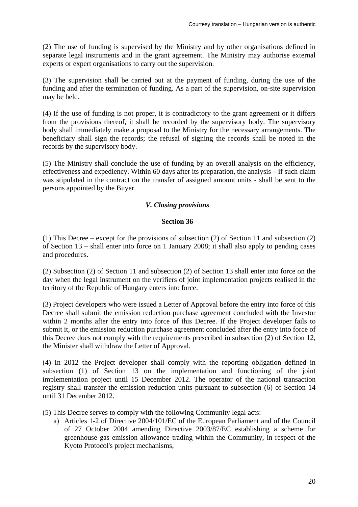(2) The use of funding is supervised by the Ministry and by other organisations defined in separate legal instruments and in the grant agreement. The Ministry may authorise external experts or expert organisations to carry out the supervision.

(3) The supervision shall be carried out at the payment of funding, during the use of the funding and after the termination of funding. As a part of the supervision, on-site supervision may be held.

(4) If the use of funding is not proper, it is contradictory to the grant agreement or it differs from the provisions thereof, it shall be recorded by the supervisory body. The supervisory body shall immediately make a proposal to the Ministry for the necessary arrangements. The beneficiary shall sign the records; the refusal of signing the records shall be noted in the records by the supervisory body.

(5) The Ministry shall conclude the use of funding by an overall analysis on the efficiency, effectiveness and expediency. Within 60 days after its preparation, the analysis – if such claim was stipulated in the contract on the transfer of assigned amount units - shall be sent to the persons appointed by the Buyer.

# *V. Closing provisions*

## **Section 36**

(1) This Decree – except for the provisions of subsection (2) of Section 11 and subsection (2) of Section 13 – shall enter into force on 1 January 2008; it shall also apply to pending cases and procedures.

(2) Subsection (2) of Section 11 and subsection (2) of Section 13 shall enter into force on the day when the legal instrument on the verifiers of joint implementation projects realised in the territory of the Republic of Hungary enters into force.

(3) Project developers who were issued a Letter of Approval before the entry into force of this Decree shall submit the emission reduction purchase agreement concluded with the Investor within 2 months after the entry into force of this Decree. If the Project developer fails to submit it, or the emission reduction purchase agreement concluded after the entry into force of this Decree does not comply with the requirements prescribed in subsection (2) of Section 12, the Minister shall withdraw the Letter of Approval.

(4) In 2012 the Project developer shall comply with the reporting obligation defined in subsection (1) of Section 13 on the implementation and functioning of the joint implementation project until 15 December 2012. The operator of the national transaction registry shall transfer the emission reduction units pursuant to subsection (6) of Section 14 until 31 December 2012.

(5) This Decree serves to comply with the following Community legal acts:

a) Articles 1-2 of Directive 2004/101/EC of the European Parliament and of the Council of 27 October 2004 amending Directive 2003/87/EC establishing a scheme for greenhouse gas emission allowance trading within the Community, in respect of the Kyoto Protocol's project mechanisms,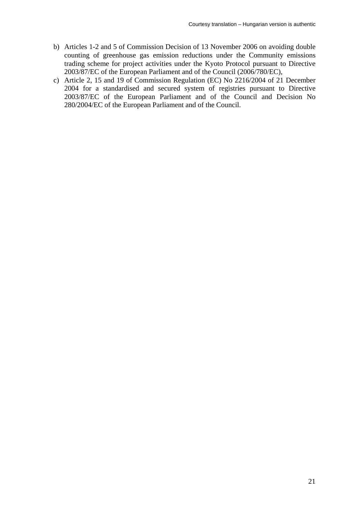- b) Articles 1-2 and 5 of Commission Decision of 13 November 2006 on avoiding double counting of greenhouse gas emission reductions under the Community emissions trading scheme for project activities under the Kyoto Protocol pursuant to Directive 2003/87/EC of the European Parliament and of the Council (2006/780/EC),
- c) Article 2, 15 and 19 of Commission Regulation (EC) No 2216/2004 of 21 December 2004 for a standardised and secured system of registries pursuant to Directive 2003/87/EC of the European Parliament and of the Council and Decision No 280/2004/EC of the European Parliament and of the Council.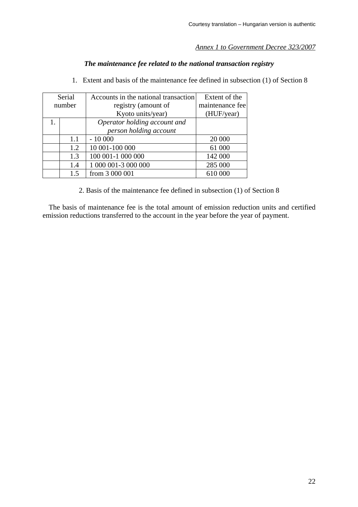# *Annex 1 to Government Decree 323/2007*

# *The maintenance fee related to the national transaction registry*

- Serial number Accounts in the national transaction registry (amount of Kyoto units/year) Extent of the maintenance fee (HUF/year) 1. *Operator holding account and person holding account*   $1.1 \quad | \quad 10\,000 \qquad \qquad | \qquad 20\,000$ 1.2 | 10 001-100 000 61 000 1.3 100 001-1 000 000 142 000 1.4 | 1 000 001-3 000 000 | 285 000 1.5 from 3 000 001 610 000
- 1. Extent and basis of the maintenance fee defined in subsection (1) of Section 8

2. Basis of the maintenance fee defined in subsection (1) of Section 8

The basis of maintenance fee is the total amount of emission reduction units and certified emission reductions transferred to the account in the year before the year of payment.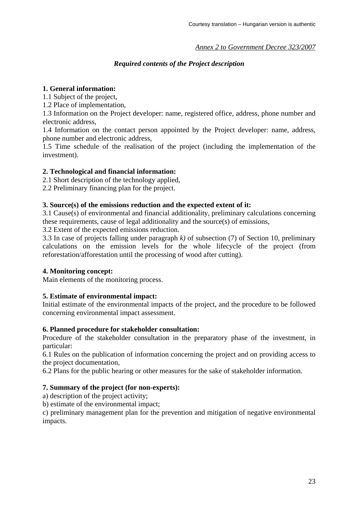# *Annex 2 to Government Decree 323/2007*

# *Required contents of the Project description*

### **1. General information:**

1.1 Subject of the project,

1.2 Place of implementation,

1.3 Information on the Project developer: name, registered office, address, phone number and electronic address,

1.4 Information on the contact person appointed by the Project developer: name, address, phone number and electronic address,

1.5 Time schedule of the realisation of the project (including the implementation of the investment).

## **2. Technological and financial information:**

2.1 Short description of the technology applied,

2.2 Preliminary financing plan for the project.

## **3. Source(s) of the emissions reduction and the expected extent of it:**

3.1 Cause(s) of environmental and financial additionality, preliminary calculations concerning these requirements, cause of legal additionality and the source(s) of emissions,

3.2 Extent of the expected emissions reduction.

3.3 In case of projects falling under paragraph *k)* of subsection (7) of Section 10, preliminary calculations on the emission levels for the whole lifecycle of the project (from reforestation/afforestation until the processing of wood after cutting).

### **4. Monitoring concept:**

Main elements of the monitoring process.

### **5. Estimate of environmental impact:**

Initial estimate of the environmental impacts of the project, and the procedure to be followed concerning environmental impact assessment.

### **6. Planned procedure for stakeholder consultation:**

Procedure of the stakeholder consultation in the preparatory phase of the investment, in particular:

6.1 Rules on the publication of information concerning the project and on providing access to the project documentation,

6.2 Plans for the public hearing or other measures for the sake of stakeholder information.

# **7. Summary of the project (for non-experts):**

a) description of the project activity;

b) estimate of the environmental impact;

c) preliminary management plan for the prevention and mitigation of negative environmental impacts.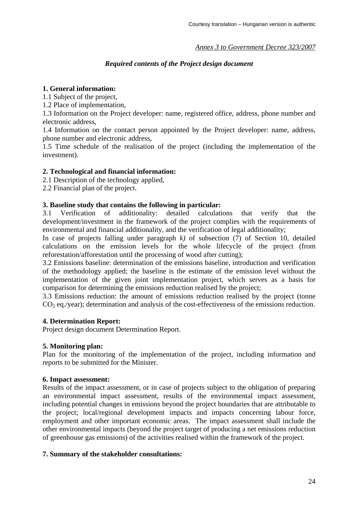# *Annex 3 to Government Decree 323/2007*

# *Required contents of the Project design document*

# **1. General information:**

1.1 Subject of the project,

1.2 Place of implementation,

1.3 Information on the Project developer: name, registered office, address, phone number and electronic address,

1.4 Information on the contact person appointed by the Project developer: name, address, phone number and electronic address,

1.5 Time schedule of the realisation of the project (including the implementation of the investment).

## **2. Technological and financial information:**

2.1 Description of the technology applied,

2.2 Financial plan of the project.

## **3. Baseline study that contains the following in particular:**

3.1 Verification of additionality: detailed calculations that verify that the development/investment in the framework of the project complies with the requirements of environmental and financial additionality, and the verification of legal additionality;

In case of projects falling under paragraph *k)* of subsection (7) of Section 10, detailed calculations on the emission levels for the whole lifecycle of the project (from reforestation/afforestation until the processing of wood after cutting);

3.2 Emissions baseline: determination of the emissions baseline, introduction and verification of the methodology applied; the baseline is the estimate of the emission level without the implementation of the given joint implementation project, which serves as a basis for comparison for determining the emissions reduction realised by the project;

3.3 Emissions reduction: the amount of emissions reduction realised by the project (tonne  $CO<sub>2</sub>$  eq./year); determination and analysis of the cost-effectiveness of the emissions reduction.

### **4. Determination Report:**

Project design document Determination Report.

### **5. Monitoring plan:**

Plan for the monitoring of the implementation of the project, including information and reports to be submitted for the Minister.

### **6. Impact assessment:**

Results of the impact assessment, or in case of projects subject to the obligation of preparing an environmental impact assessment, results of the environmental impact assessment, including potential changes in emissions beyond the project boundaries that are attributable to the project; local/regional development impacts and impacts concerning labour force, employment and other important economic areas. The impact assessment shall include the other environmental impacts (beyond the project target of producing a net emissions reduction of greenhouse gas emissions) of the activities realised within the framework of the project.

### **7. Summary of the stakeholder consultations:**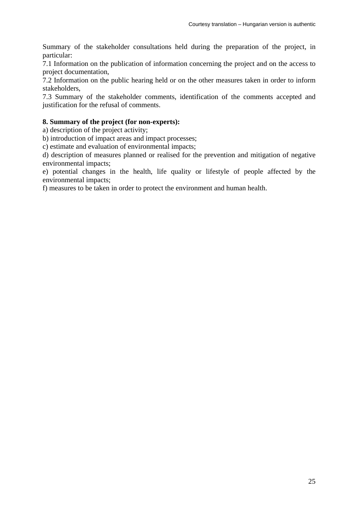Summary of the stakeholder consultations held during the preparation of the project, in particular:

7.1 Information on the publication of information concerning the project and on the access to project documentation,

7.2 Information on the public hearing held or on the other measures taken in order to inform stakeholders,

7.3 Summary of the stakeholder comments, identification of the comments accepted and justification for the refusal of comments.

### **8. Summary of the project (for non-experts):**

a) description of the project activity;

b) introduction of impact areas and impact processes;

c) estimate and evaluation of environmental impacts;

d) description of measures planned or realised for the prevention and mitigation of negative environmental impacts;

e) potential changes in the health, life quality or lifestyle of people affected by the environmental impacts;

f) measures to be taken in order to protect the environment and human health.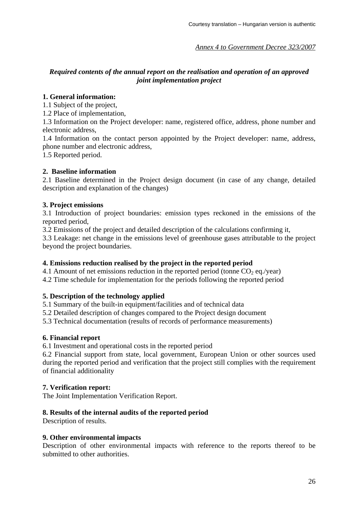*Annex 4 to Government Decree 323/2007*

# *Required contents of the annual report on the realisation and operation of an approved joint implementation project*

## **1. General information:**

1.1 Subject of the project,

1.2 Place of implementation,

1.3 Information on the Project developer: name, registered office, address, phone number and electronic address,

1.4 Information on the contact person appointed by the Project developer: name, address, phone number and electronic address,

1.5 Reported period.

## **2. Baseline information**

2.1 Baseline determined in the Project design document (in case of any change, detailed description and explanation of the changes)

## **3. Project emissions**

3.1 Introduction of project boundaries: emission types reckoned in the emissions of the reported period,

3.2 Emissions of the project and detailed description of the calculations confirming it,

3.3 Leakage: net change in the emissions level of greenhouse gases attributable to the project beyond the project boundaries.

# **4. Emissions reduction realised by the project in the reported period**

4.1 Amount of net emissions reduction in the reported period (tonne  $CO<sub>2</sub>$  eq./year)

4.2 Time schedule for implementation for the periods following the reported period

### **5. Description of the technology applied**

5.1 Summary of the built-in equipment/facilities and of technical data

5.2 Detailed description of changes compared to the Project design document

5.3 Technical documentation (results of records of performance measurements)

### **6. Financial report**

6.1 Investment and operational costs in the reported period

6.2 Financial support from state, local government, European Union or other sources used during the reported period and verification that the project still complies with the requirement of financial additionality

### **7. Verification report:**

The Joint Implementation Verification Report.

# **8. Results of the internal audits of the reported period**

Description of results.

### **9. Other environmental impacts**

Description of other environmental impacts with reference to the reports thereof to be submitted to other authorities.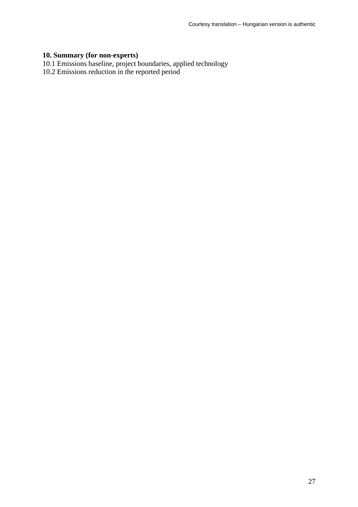#### **10. Summary (for non-experts)**

- 10.1 Emissions baseline, project boundaries, applied technology
- 10.2 Emissions reduction in the reported period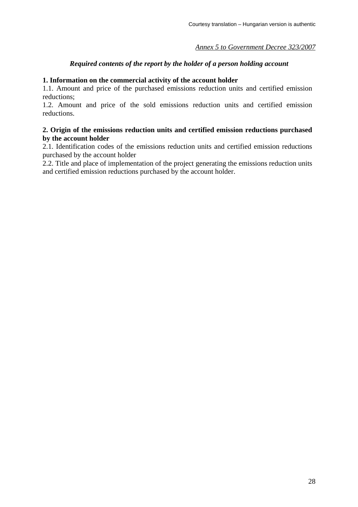# *Annex 5 to Government Decree 323/2007*

# *Required contents of the report by the holder of a person holding account*

### **1. Information on the commercial activity of the account holder**

1.1. Amount and price of the purchased emissions reduction units and certified emission reductions;

1.2. Amount and price of the sold emissions reduction units and certified emission reductions.

### **2. Origin of the emissions reduction units and certified emission reductions purchased by the account holder**

2.1. Identification codes of the emissions reduction units and certified emission reductions purchased by the account holder

2.2. Title and place of implementation of the project generating the emissions reduction units and certified emission reductions purchased by the account holder.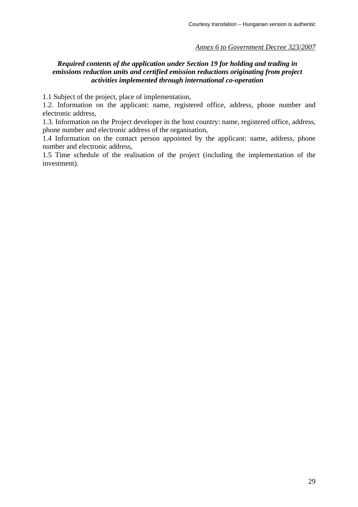#### *Annex 6 to Government Decree 323/2007*

# *Required contents of the application under Section 19 for holding and trading in emissions reduction units and certified emission reductions originating from project activities implemented through international co-operation*

1.1 Subject of the project, place of implementation,

1.2. Information on the applicant: name, registered office, address, phone number and electronic address,

1.3. Information on the Project developer in the host country: name, registered office, address, phone number and electronic address of the organisation,

1.4 Information on the contact person appointed by the applicant: name, address, phone number and electronic address,

1.5 Time schedule of the realisation of the project (including the implementation of the investment).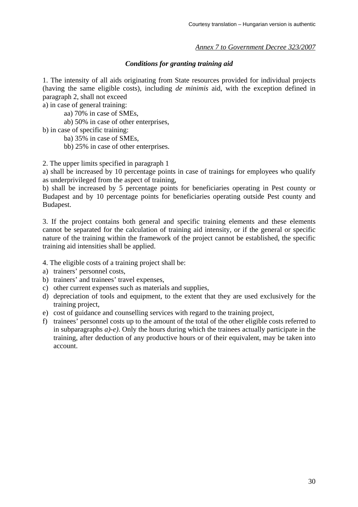# *Annex 7 to Government Decree 323/2007*

## *Conditions for granting training aid*

1. The intensity of all aids originating from State resources provided for individual projects (having the same eligible costs), including *de minimis* aid, with the exception defined in paragraph 2, shall not exceed

a) in case of general training:

aa) 70% in case of SMEs,

ab) 50% in case of other enterprises,

b) in case of specific training:

ba) 35% in case of SMEs,

bb) 25% in case of other enterprises.

2. The upper limits specified in paragraph 1

a) shall be increased by 10 percentage points in case of trainings for employees who qualify as underprivileged from the aspect of training,

b) shall be increased by 5 percentage points for beneficiaries operating in Pest county or Budapest and by 10 percentage points for beneficiaries operating outside Pest county and Budapest.

3. If the project contains both general and specific training elements and these elements cannot be separated for the calculation of training aid intensity, or if the general or specific nature of the training within the framework of the project cannot be established, the specific training aid intensities shall be applied.

4. The eligible costs of a training project shall be:

- a) trainers' personnel costs,
- b) trainers' and trainees' travel expenses,
- c) other current expenses such as materials and supplies,
- d) depreciation of tools and equipment, to the extent that they are used exclusively for the training project,
- e) cost of guidance and counselling services with regard to the training project,
- f) trainees' personnel costs up to the amount of the total of the other eligible costs referred to in subparagraphs *a)-e)*. Only the hours during which the trainees actually participate in the training, after deduction of any productive hours or of their equivalent, may be taken into account.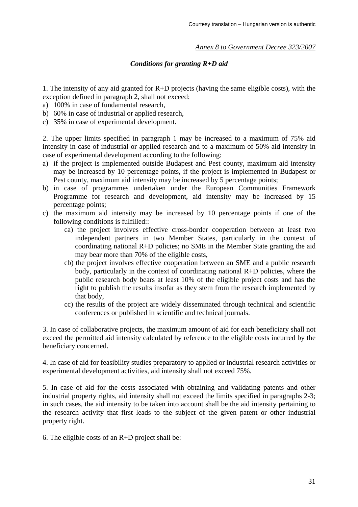### *Annex 8 to Government Decree 323/2007*

# *Conditions for granting R+D aid*

1. The intensity of any aid granted for R+D projects (having the same eligible costs), with the exception defined in paragraph 2, shall not exceed:

- a) 100% in case of fundamental research,
- b) 60% in case of industrial or applied research.
- c) 35% in case of experimental development.

2. The upper limits specified in paragraph 1 may be increased to a maximum of 75% aid intensity in case of industrial or applied research and to a maximum of 50% aid intensity in case of experimental development according to the following:

- a) if the project is implemented outside Budapest and Pest county, maximum aid intensity may be increased by 10 percentage points, if the project is implemented in Budapest or Pest county, maximum aid intensity may be increased by 5 percentage points;
- b) in case of programmes undertaken under the European Communities Framework Programme for research and development, aid intensity may be increased by 15 percentage points;
- c) the maximum aid intensity may be increased by 10 percentage points if one of the following conditions is fulfilled::
	- ca) the project involves effective cross-border cooperation between at least two independent partners in two Member States, particularly in the context of coordinating national R+D policies; no SME in the Member State granting the aid may bear more than 70% of the eligible costs,
	- cb) the project involves effective cooperation between an SME and a public research body, particularly in the context of coordinating national R+D policies, where the public research body bears at least 10% of the eligible project costs and has the right to publish the results insofar as they stem from the research implemented by that body,
	- cc) the results of the project are widely disseminated through technical and scientific conferences or published in scientific and technical journals.

3. In case of collaborative projects, the maximum amount of aid for each beneficiary shall not exceed the permitted aid intensity calculated by reference to the eligible costs incurred by the beneficiary concerned.

4. In case of aid for feasibility studies preparatory to applied or industrial research activities or experimental development activities, aid intensity shall not exceed 75%.

5. In case of aid for the costs associated with obtaining and validating patents and other industrial property rights, aid intensity shall not exceed the limits specified in paragraphs 2-3; in such cases, the aid intensity to be taken into account shall be the aid intensity pertaining to the research activity that first leads to the subject of the given patent or other industrial property right.

6. The eligible costs of an R+D project shall be: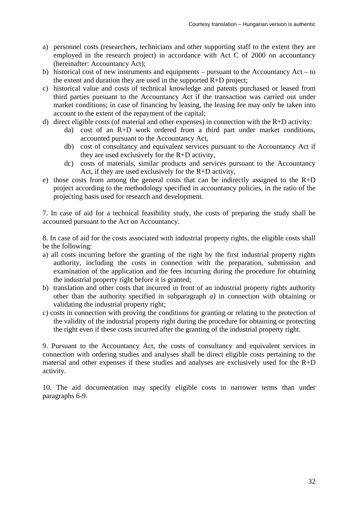- a) personnel costs (researchers, technicians and other supporting staff to the extent they are employed in the research project) in accordance with Act C of 2000 on accountancy (hereinafter: Accountancy Act);
- b) historical cost of new instruments and equipments pursuant to the Accountancy Act to the extent and duration they are used in the supported  $R+D$  project;
- c) historical value and costs of technical knowledge and patents purchased or leased from third parties pursuant to the Accountancy Act if the transaction was carried out under market conditions; in case of financing by leasing, the leasing fee may only be taken into account to the extent of the repayment of the capital;
- d) direct eligible costs (of material and other expenses) in connection with the R+D activity:
	- da)cost of an R+D work ordered from a third part under market conditions, accounted pursuant to the Accountancy Act,
	- db)cost of consultancy and equivalent services pursuant to the Accountancy Act if they are used exclusively for the R+D activity,
	- dc)costs of materials, similar products and services pursuant to the Accountancy Act, if they are used exclusively for the R+D activity,
- e) those costs from among the general costs that can be indirectly assigned to the  $R+D$ project according to the methodology specified in accountancy policies, in the ratio of the projecting basis used for research and development.

7. In case of aid for a technical feasibility study, the costs of preparing the study shall be accounted pursuant to the Act on Accountancy.

8. In case of aid for the costs associated with industrial property rights, the eligible costs shall be the following:

- a) all costs incurring before the granting of the right by the first industrial property rights authority, including the costs in connection with the preparation, submission and examination of the application and the fees incurring during the procedure for obtaining the industrial property right before it is granted;
- b) translation and other costs that incurred in front of an industrial property rights authority other than the authority specified in subparagraph *a)* in connection with obtaining or validating the industrial property right;
- c) costs in connection with proving the conditions for granting or relating to the protection of the validity of the industrial property right during the procedure for obtaining or protecting the right even if these costs incurred after the granting of the industrial property right.

9. Pursuant to the Accountancy Act, the costs of consultancy and equivalent services in connection with ordering studies and analyses shall be direct eligible costs pertaining to the material and other expenses if these studies and analyses are exclusively used for the  $R+D$ activity.

10. The aid documentation may specify eligible costs in narrower terms than under paragraphs 6-9.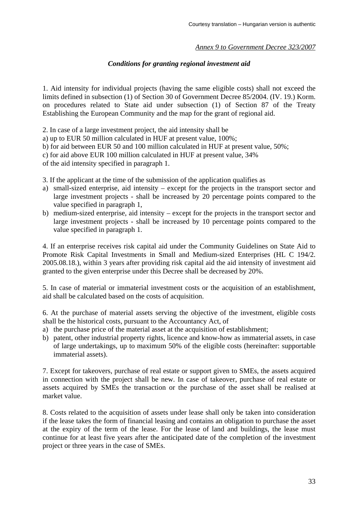### *Annex 9 to Government Decree 323/2007*

## *Conditions for granting regional investment aid*

1. Aid intensity for individual projects (having the same eligible costs) shall not exceed the limits defined in subsection (1) of Section 30 of Government Decree 85/2004. (IV. 19.) Korm. on procedures related to State aid under subsection (1) of Section 87 of the Treaty Establishing the European Community and the map for the grant of regional aid.

2. In case of a large investment project, the aid intensity shall be

a) up to EUR 50 million calculated in HUF at present value, 100%;

b) for aid between EUR 50 and 100 million calculated in HUF at present value, 50%;

c) for aid above EUR 100 million calculated in HUF at present value, 34%

of the aid intensity specified in paragraph 1.

- 3. If the applicant at the time of the submission of the application qualifies as
- a) small-sized enterprise, aid intensity except for the projects in the transport sector and large investment projects - shall be increased by 20 percentage points compared to the value specified in paragraph 1,
- b) medium-sized enterprise, aid intensity except for the projects in the transport sector and large investment projects - shall be increased by 10 percentage points compared to the value specified in paragraph 1.

4. If an enterprise receives risk capital aid under the Community Guidelines on State Aid to Promote Risk Capital Investments in Small and Medium-sized Enterprises (HL C 194/2. 2005.08.18.), within 3 years after providing risk capital aid the aid intensity of investment aid granted to the given enterprise under this Decree shall be decreased by 20%.

5. In case of material or immaterial investment costs or the acquisition of an establishment, aid shall be calculated based on the costs of acquisition.

6. At the purchase of material assets serving the objective of the investment, eligible costs shall be the historical costs, pursuant to the Accountancy Act, of

- a) the purchase price of the material asset at the acquisition of establishment;
- b) patent, other industrial property rights, licence and know-how as immaterial assets, in case of large undertakings, up to maximum 50% of the eligible costs (hereinafter: supportable immaterial assets).

7. Except for takeovers, purchase of real estate or support given to SMEs, the assets acquired in connection with the project shall be new. In case of takeover, purchase of real estate or assets acquired by SMEs the transaction or the purchase of the asset shall be realised at market value.

8. Costs related to the acquisition of assets under lease shall only be taken into consideration if the lease takes the form of financial leasing and contains an obligation to purchase the asset at the expiry of the term of the lease. For the lease of land and buildings, the lease must continue for at least five years after the anticipated date of the completion of the investment project or three years in the case of SMEs.